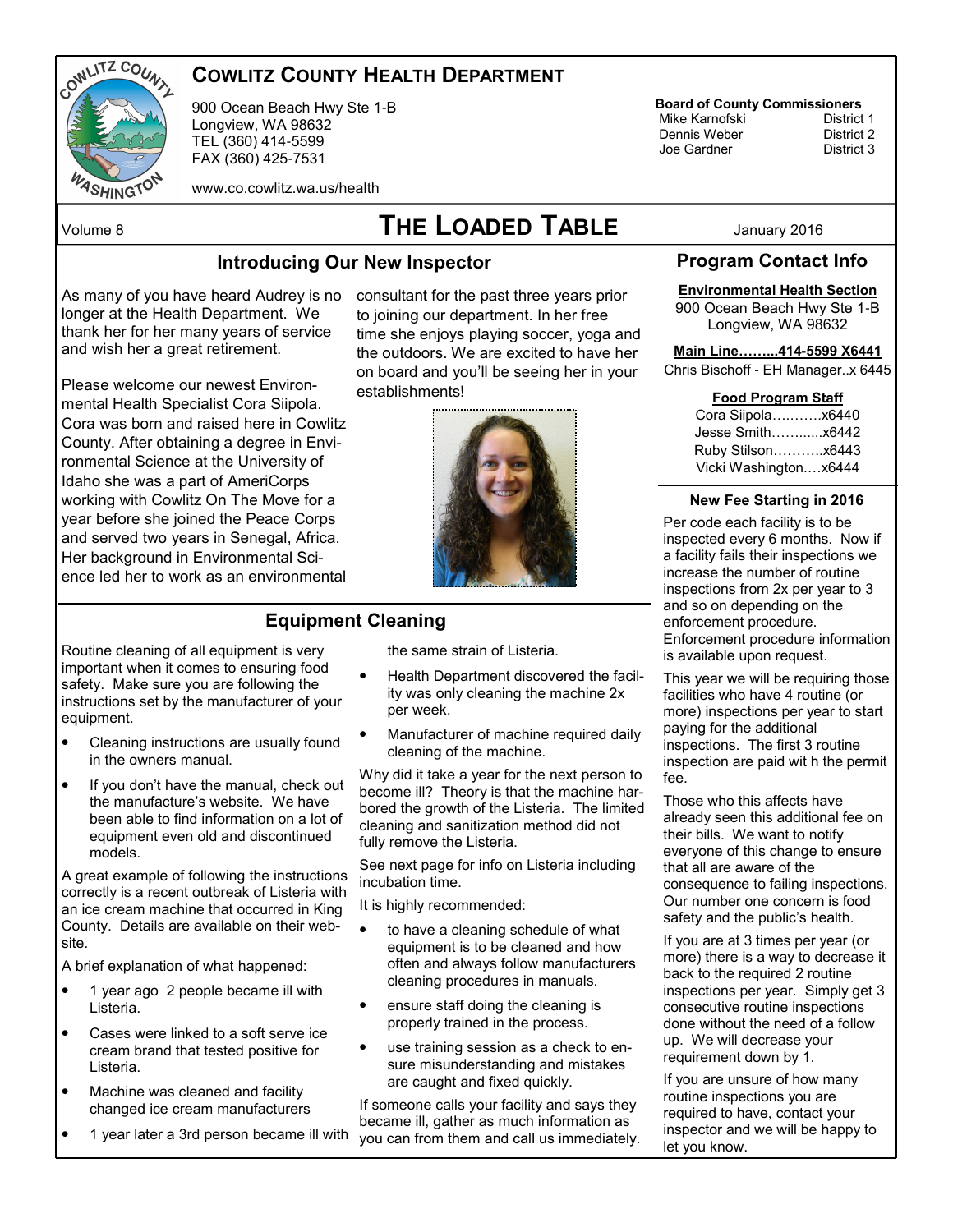

# COWLITZ COUNTY HEALTH DEPARTMENT

900 Ocean Beach Hwy Ste 1-B Longview, WA 98632 TEL (360) 414-5599 FAX (360) 425-7531

www.co.cowlitz.wa.us/health

# Volume 8  $\sqrt{ }$   $\sqrt{ }$   $\sqrt{ }$   $\sqrt{ }$   $\sqrt{ }$   $\sqrt{ }$   $\sqrt{ }$   $\sqrt{ }$   $\sqrt{ }$   $\sqrt{ }$   $\sqrt{ }$   $\sqrt{ }$   $\sqrt{ }$   $\sqrt{ }$   $\sqrt{ }$   $\sqrt{ }$   $\sqrt{ }$   $\sqrt{ }$   $\sqrt{ }$   $\sqrt{ }$   $\sqrt{ }$   $\sqrt{ }$   $\sqrt{ }$   $\sqrt{ }$   $\sqrt{ }$   $\sqrt{ }$   $\sqrt{ }$   $\sqrt{ }$   $\sqrt{ }$   $\sqrt{ }$   $\$

#### Introducing Our New Inspector

As many of you have heard Audrey is no consultant for the past three years prior longer at the Health Department. We thank her for her many years of service and wish her a great retirement.

Please welcome our newest Environmental Health Specialist Cora Siipola. Cora was born and raised here in Cowlitz County. After obtaining a degree in Environmental Science at the University of Idaho she was a part of AmeriCorps working with Cowlitz On The Move for a year before she joined the Peace Corps and served two years in Senegal, Africa. Her background in Environmental Science led her to work as an environmental

to joining our department. In her free time she enjoys playing soccer, yoga and the outdoors. We are excited to have her on board and you'll be seeing her in your establishments!



### Equipment Cleaning

Routine cleaning of all equipment is very important when it comes to ensuring food safety. Make sure you are following the instructions set by the manufacturer of your equipment.

- Cleaning instructions are usually found in the owners manual.
- If you don't have the manual, check out the manufacture's website. We have been able to find information on a lot of equipment even old and discontinued models.

A great example of following the instructions correctly is a recent outbreak of Listeria with an ice cream machine that occurred in King County. Details are available on their website.

A brief explanation of what happened:

- 1 year ago 2 people became ill with Listeria.
- Cases were linked to a soft serve ice cream brand that tested positive for Listeria.
- Machine was cleaned and facility changed ice cream manufacturers
- 1 year later a 3rd person became ill with

the same strain of Listeria.

- Health Department discovered the facility was only cleaning the machine 2x per week.
- Manufacturer of machine required daily cleaning of the machine.

Why did it take a year for the next person to become ill? Theory is that the machine harbored the growth of the Listeria. The limited cleaning and sanitization method did not fully remove the Listeria.

See next page for info on Listeria including incubation time.

It is highly recommended:

- to have a cleaning schedule of what equipment is to be cleaned and how often and always follow manufacturers cleaning procedures in manuals.
- ensure staff doing the cleaning is properly trained in the process.
- use training session as a check to ensure misunderstanding and mistakes are caught and fixed quickly.

If someone calls your facility and says they became ill, gather as much information as you can from them and call us immediately. **Board of County Commissioners**<br>Mike Karnofski **District 1** 

 Mike Karnofski District 1 Dennis Weber District 2 Joe Gardner

Program Contact Info

## Environmental Health Section

900 Ocean Beach Hwy Ste 1-B Longview, WA 98632

#### Main Line&&...414**-**5599 X6441

Chris Bischoff - EH Manager..x 6445

|             |  | Food Program Staff |     |
|-------------|--|--------------------|-----|
| ra Riinola. |  |                    | VGM |

| Cora Siipolax6440     |  |
|-----------------------|--|
| Jesse Smithx6442      |  |
| Ruby Stilson x6443    |  |
| Vicki Washingtonx6444 |  |

#### New Fee Starting in 2016

Per code each facility is to be inspected every 6 months. Now if a facility fails their inspections we increase the number of routine inspections from 2x per year to 3 and so on depending on the enforcement procedure. Enforcement procedure information is available upon request.

This year we will be requiring those facilities who have 4 routine (or more) inspections per year to start paying for the additional inspections. The first 3 routine inspection are paid wit h the permit fee.

Those who this affects have already seen this additional fee on their bills. We want to notify everyone of this change to ensure that all are aware of the consequence to failing inspections. Our number one concern is food safety and the public's health.

If you are at 3 times per year (or more) there is a way to decrease it back to the required 2 routine inspections per year. Simply get 3 consecutive routine inspections done without the need of a follow up. We will decrease your requirement down by 1.

If you are unsure of how many routine inspections you are required to have, contact your inspector and we will be happy to let you know.